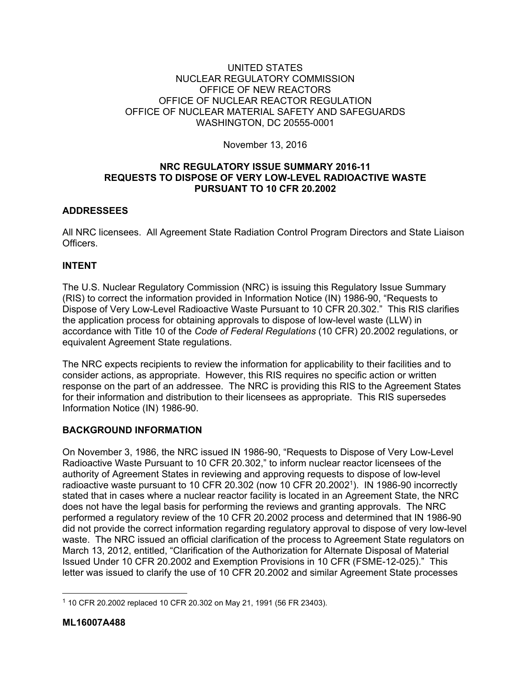#### UNITED STATES NUCLEAR REGULATORY COMMISSION OFFICE OF NEW REACTORS OFFICE OF NUCLEAR REACTOR REGULATION OFFICE OF NUCLEAR MATERIAL SAFETY AND SAFEGUARDS WASHINGTON, DC 20555-0001

November 13, 2016

### **NRC REGULATORY ISSUE SUMMARY 2016-11 REQUESTS TO DISPOSE OF VERY LOW-LEVEL RADIOACTIVE WASTE PURSUANT TO 10 CFR 20.2002**

# **ADDRESSEES**

All NRC licensees. All Agreement State Radiation Control Program Directors and State Liaison **Officers** 

# **INTENT**

The U.S. Nuclear Regulatory Commission (NRC) is issuing this Regulatory Issue Summary (RIS) to correct the information provided in Information Notice (IN) 1986-90, "Requests to Dispose of Very Low-Level Radioactive Waste Pursuant to 10 CFR 20.302." This RIS clarifies the application process for obtaining approvals to dispose of low-level waste (LLW) in accordance with Title 10 of the *Code of Federal Regulations* (10 CFR) 20.2002 regulations, or equivalent Agreement State regulations.

The NRC expects recipients to review the information for applicability to their facilities and to consider actions, as appropriate. However, this RIS requires no specific action or written response on the part of an addressee. The NRC is providing this RIS to the Agreement States for their information and distribution to their licensees as appropriate. This RIS supersedes Information Notice (IN) 1986-90.

### **BACKGROUND INFORMATION**

On November 3, 1986, the NRC issued IN 1986-90, "Requests to Dispose of Very Low-Level Radioactive Waste Pursuant to 10 CFR 20.302," to inform nuclear reactor licensees of the authority of Agreement States in reviewing and approving requests to dispose of low-level radioactive waste pursuant to 10 CFR 20.302 (now 10 CFR 20.20021). IN 1986-90 incorrectly stated that in cases where a nuclear reactor facility is located in an Agreement State, the NRC does not have the legal basis for performing the reviews and granting approvals. The NRC performed a regulatory review of the 10 CFR 20.2002 process and determined that IN 1986-90 did not provide the correct information regarding regulatory approval to dispose of very low-level waste. The NRC issued an official clarification of the process to Agreement State regulators on March 13, 2012, entitled, "Clarification of the Authorization for Alternate Disposal of Material Issued Under 10 CFR 20.2002 and Exemption Provisions in 10 CFR (FSME-12-025)." This letter was issued to clarify the use of 10 CFR 20.2002 and similar Agreement State processes

 $\overline{a}$ 

<sup>1</sup> 10 CFR 20.2002 replaced 10 CFR 20.302 on May 21, 1991 (56 FR 23403).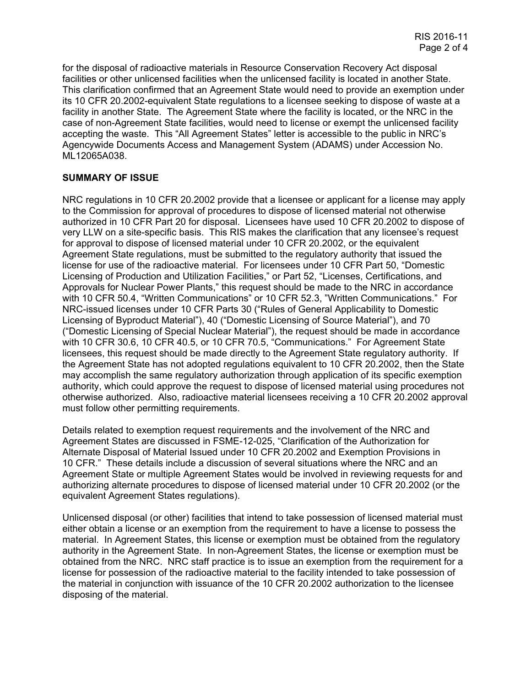for the disposal of radioactive materials in Resource Conservation Recovery Act disposal facilities or other unlicensed facilities when the unlicensed facility is located in another State. This clarification confirmed that an Agreement State would need to provide an exemption under its 10 CFR 20.2002-equivalent State regulations to a licensee seeking to dispose of waste at a facility in another State. The Agreement State where the facility is located, or the NRC in the case of non-Agreement State facilities, would need to license or exempt the unlicensed facility accepting the waste. This "All Agreement States" letter is accessible to the public in NRC's Agencywide Documents Access and Management System (ADAMS) under Accession No. ML12065A038.

#### **SUMMARY OF ISSUE**

NRC regulations in 10 CFR 20.2002 provide that a licensee or applicant for a license may apply to the Commission for approval of procedures to dispose of licensed material not otherwise authorized in 10 CFR Part 20 for disposal. Licensees have used 10 CFR 20.2002 to dispose of very LLW on a site-specific basis. This RIS makes the clarification that any licensee's request for approval to dispose of licensed material under 10 CFR 20.2002, or the equivalent Agreement State regulations, must be submitted to the regulatory authority that issued the license for use of the radioactive material. For licensees under 10 CFR Part 50, "Domestic Licensing of Production and Utilization Facilities," or Part 52, "Licenses, Certifications, and Approvals for Nuclear Power Plants," this request should be made to the NRC in accordance with 10 CFR 50.4, "Written Communications" or 10 CFR 52.3, "Written Communications." For NRC-issued licenses under 10 CFR Parts 30 ("Rules of General Applicability to Domestic Licensing of Byproduct Material"), 40 ("Domestic Licensing of Source Material"), and 70 ("Domestic Licensing of Special Nuclear Material"), the request should be made in accordance with 10 CFR 30.6, 10 CFR 40.5, or 10 CFR 70.5, "Communications." For Agreement State licensees, this request should be made directly to the Agreement State regulatory authority. If the Agreement State has not adopted regulations equivalent to 10 CFR 20.2002, then the State may accomplish the same regulatory authorization through application of its specific exemption authority, which could approve the request to dispose of licensed material using procedures not otherwise authorized. Also, radioactive material licensees receiving a 10 CFR 20.2002 approval must follow other permitting requirements.

Details related to exemption request requirements and the involvement of the NRC and Agreement States are discussed in FSME-12-025, "Clarification of the Authorization for Alternate Disposal of Material Issued under 10 CFR 20.2002 and Exemption Provisions in 10 CFR." These details include a discussion of several situations where the NRC and an Agreement State or multiple Agreement States would be involved in reviewing requests for and authorizing alternate procedures to dispose of licensed material under 10 CFR 20.2002 (or the equivalent Agreement States regulations).

Unlicensed disposal (or other) facilities that intend to take possession of licensed material must either obtain a license or an exemption from the requirement to have a license to possess the material. In Agreement States, this license or exemption must be obtained from the regulatory authority in the Agreement State. In non-Agreement States, the license or exemption must be obtained from the NRC. NRC staff practice is to issue an exemption from the requirement for a license for possession of the radioactive material to the facility intended to take possession of the material in conjunction with issuance of the 10 CFR 20.2002 authorization to the licensee disposing of the material.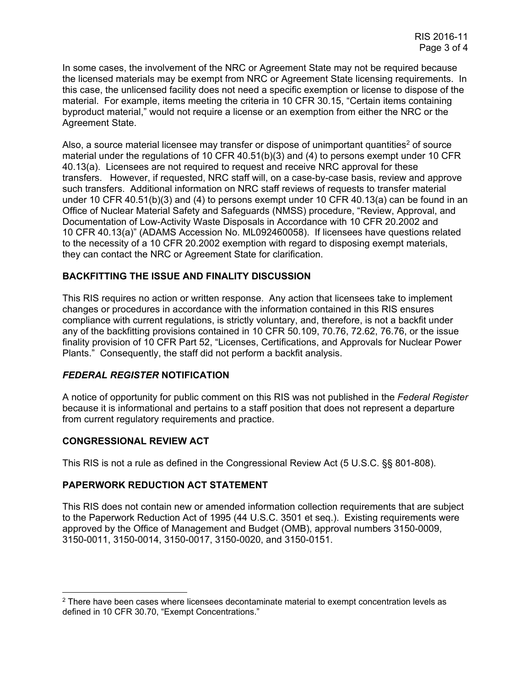In some cases, the involvement of the NRC or Agreement State may not be required because the licensed materials may be exempt from NRC or Agreement State licensing requirements. In this case, the unlicensed facility does not need a specific exemption or license to dispose of the material. For example, items meeting the criteria in 10 CFR 30.15, "Certain items containing byproduct material," would not require a license or an exemption from either the NRC or the Agreement State.

Also, a source material licensee may transfer or dispose of unimportant quantities<sup>2</sup> of source material under the regulations of 10 CFR 40.51(b)(3) and (4) to persons exempt under 10 CFR 40.13(a). Licensees are not required to request and receive NRC approval for these transfers. However, if requested, NRC staff will, on a case-by-case basis, review and approve such transfers. Additional information on NRC staff reviews of requests to transfer material under 10 CFR 40.51(b)(3) and (4) to persons exempt under 10 CFR 40.13(a) can be found in an Office of Nuclear Material Safety and Safeguards (NMSS) procedure, "Review, Approval, and Documentation of Low-Activity Waste Disposals in Accordance with 10 CFR 20.2002 and 10 CFR 40.13(a)" (ADAMS Accession No. ML092460058). If licensees have questions related to the necessity of a 10 CFR 20.2002 exemption with regard to disposing exempt materials, they can contact the NRC or Agreement State for clarification.

### **BACKFITTING THE ISSUE AND FINALITY DISCUSSION**

This RIS requires no action or written response. Any action that licensees take to implement changes or procedures in accordance with the information contained in this RIS ensures compliance with current regulations, is strictly voluntary, and, therefore, is not a backfit under any of the backfitting provisions contained in 10 CFR 50.109, 70.76, 72.62, 76.76, or the issue finality provision of 10 CFR Part 52, "Licenses, Certifications, and Approvals for Nuclear Power Plants." Consequently, the staff did not perform a backfit analysis.

### *FEDERAL REGISTER* **NOTIFICATION**

A notice of opportunity for public comment on this RIS was not published in the *Federal Register* because it is informational and pertains to a staff position that does not represent a departure from current regulatory requirements and practice.

### **CONGRESSIONAL REVIEW ACT**

 $\overline{a}$ 

This RIS is not a rule as defined in the Congressional Review Act (5 U.S.C. §§ 801-808).

#### **PAPERWORK REDUCTION ACT STATEMENT**

This RIS does not contain new or amended information collection requirements that are subject to the Paperwork Reduction Act of 1995 (44 U.S.C. 3501 et seq.). Existing requirements were approved by the Office of Management and Budget (OMB), approval numbers 3150-0009, 3150-0011, 3150-0014, 3150-0017, 3150-0020, and 3150-0151.

 $2$  There have been cases where licensees decontaminate material to exempt concentration levels as defined in 10 CFR 30.70, "Exempt Concentrations."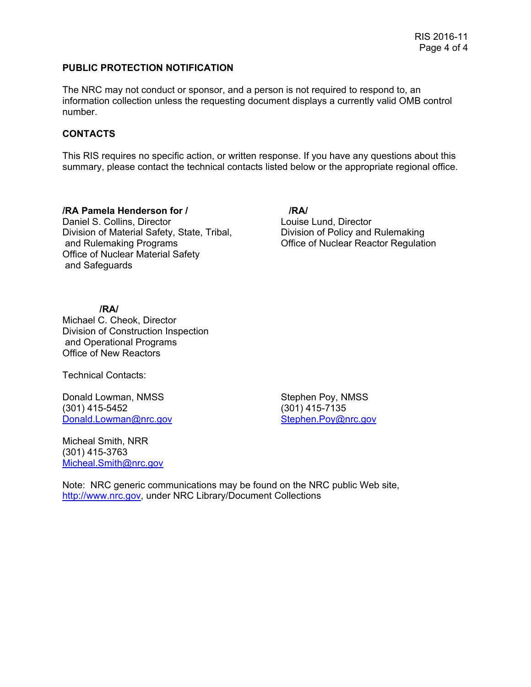#### **PUBLIC PROTECTION NOTIFICATION**

The NRC may not conduct or sponsor, and a person is not required to respond to, an information collection unless the requesting document displays a currently valid OMB control number.

## **CONTACTS**

This RIS requires no specific action, or written response. If you have any questions about this summary, please contact the technical contacts listed below or the appropriate regional office.

**/RA Pamela Henderson for / /RA/** Daniel S. Collins, Director **Louise Lund, Director** Louise Lund, Director Division of Material Safety, State, Tribal, Division of Policy and Rulemaking and Rulemaking Programs Office of Nuclear Reactor Regulation Office of Nuclear Material Safety and Safeguards

#### **/RA/**

Michael C. Cheok, Director Division of Construction Inspection and Operational Programs Office of New Reactors

Technical Contacts:

Donald Lowman, NMSS Stephen Poy, NMSS (301) 415-5452 (301) 415-7135 Donald.Lowman@nrc.gov Stephen.Poy@nrc.gov

Micheal Smith, NRR (301) 415-3763 Micheal.Smith@nrc.gov

Note: NRC generic communications may be found on the NRC public Web site, http://www.nrc.gov, under NRC Library/Document Collections